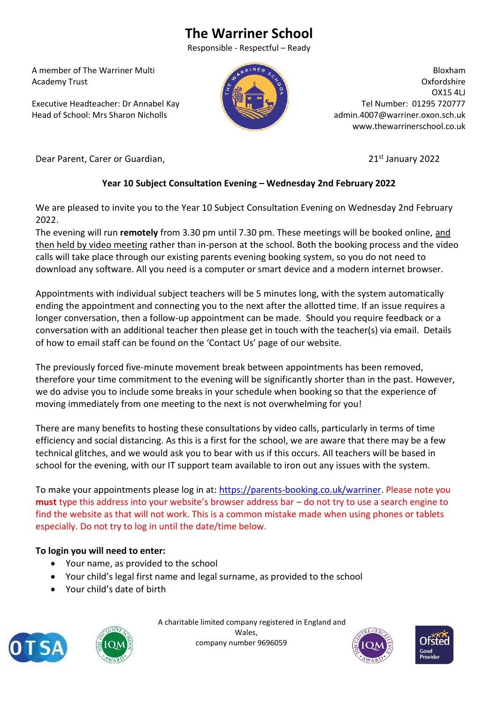# **The Warriner School**

Responsible - Respectful – Ready

 A member of The Warriner Multi Academy Trust

 Executive Headteacher: Dr Annabel Kay Head of School: Mrs Sharon Nicholls



Bloxham Oxfordshire OX15 4LJ Tel Number: 01295 720777 admin.4007@warriner.oxon.sch.uk www.thewarrinerschool.co.uk

Dear Parent, Carer or Guardian, 2022 **21st January 2022** 

# **Year 10 Subject Consultation Evening – Wednesday 2nd February 2022**

We are pleased to invite you to the Year 10 Subject Consultation Evening on Wednesday 2nd February 2022.

The evening will run **remotely** from 3.30 pm until 7.30 pm. These meetings will be booked online, and then held by video meeting rather than in-person at the school. Both the booking process and the video calls will take place through our existing parents evening booking system, so you do not need to download any software. All you need is a computer or smart device and a modern internet browser.

Appointments with individual subject teachers will be 5 minutes long, with the system automatically ending the appointment and connecting you to the next after the allotted time. If an issue requires a longer conversation, then a follow-up appointment can be made. Should you require feedback or a conversation with an additional teacher then please get in touch with the teacher(s) via email. Details of how to email staff can be found on the 'Contact Us' page of our website.

The previously forced five-minute movement break between appointments has been removed, therefore your time commitment to the evening will be significantly shorter than in the past. However, we do advise you to include some breaks in your schedule when booking so that the experience of moving immediately from one meeting to the next is not overwhelming for you!

There are many benefits to hosting these consultations by video calls, particularly in terms of time efficiency and social distancing. As this is a first for the school, we are aware that there may be a few technical glitches, and we would ask you to bear with us if this occurs. All teachers will be based in school for the evening, with our IT support team available to iron out any issues with the system.

To make your appointments please log in at: [https://parents-booking.co.uk/warriner.](https://parents-booking.co.uk/warriner) Please note you **must** type this address into your website's browser address bar – do not try to use a search engine to find the website as that will not work. This is a common mistake made when using phones or tablets especially. Do not try to log in until the date/time below.

## **To login you will need to enter:**

- Your name, as provided to the school
- Your child's legal first name and legal surname, as provided to the school
- Your child's date of birth





 A charitable limited company registered in England and Wales, company number 9696059